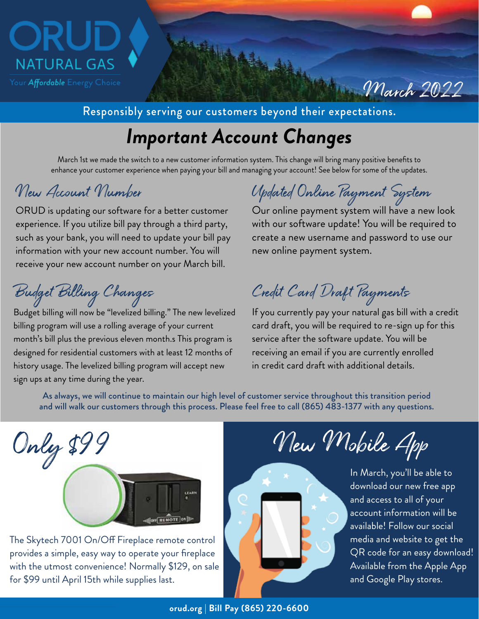

## Responsibly serving our customers beyond their expectations.

# *Important Account Changes*

March 1st we made the switch to a new customer information system. This change will bring many positive benefits to enhance your customer experience when paying your bill and managing your account! See below for some of the updates.

ORUD is updating our software for a better customer experience. If you utilize bill pay through a third party, such as your bank, you will need to update your bill pay information with your new account number. You will receive your new account number on your March bill.

Budget billing will now be "levelized billing." The new levelized billing program will use a rolling average of your current month's bill plus the previous eleven month.s This program is designed for residential customers with at least 12 months of history usage. The levelized billing program will accept new sign ups at any time during the year.

New Account Number Updated Online Payment System

Our online payment system will have a new look with our software update! You will be required to create a new username and password to use our new online payment system.

March 2022

Budget Billing Changes Credit Card Draft Payments

If you currently pay your natural gas bill with a credit card draft, you will be required to re-sign up for this service after the software update. You will be receiving an email if you are currently enrolled in credit card draft with additional details.

As always, we will continue to maintain our high level of customer service throughout this transition period and will walk our customers through this process. Please feel free to call (865) 483-1377 with any questions.



The Skytech 7001 On/Off Fireplace remote control provides a simple, easy way to operate your fireplace with the utmost convenience! Normally \$129, on sale for \$99 until April 15th while supplies last.

New Mobile App

In March, you'll be able to download our new free app and access to all of your account information will be available! Follow our social media and website to get the QR code for an easy download! Available from the Apple App and Google Play stores.